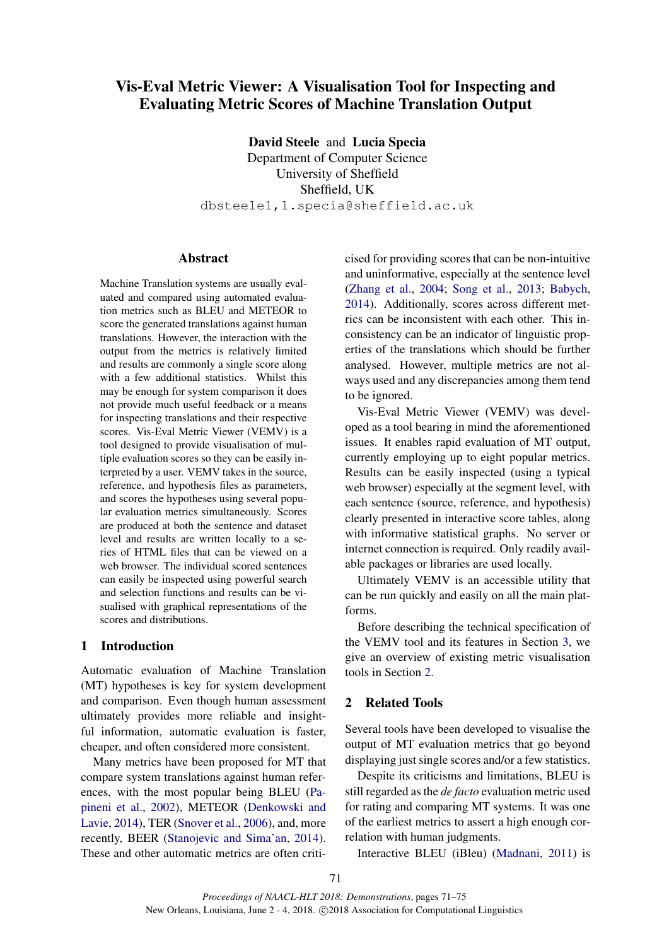# Vis-Eval Metric Viewer: A Visualisation Tool for Inspecting and Evaluating Metric Scores of Machine Translation Output

David Steele and Lucia Specia Department of Computer Science University of Sheffield Sheffield, UK dbsteele1,l.specia@sheffield.ac.uk

### Abstract

Machine Translation systems are usually evaluated and compared using automated evaluation metrics such as BLEU and METEOR to score the generated translations against human translations. However, the interaction with the output from the metrics is relatively limited and results are commonly a single score along with a few additional statistics. Whilst this may be enough for system comparison it does not provide much useful feedback or a means for inspecting translations and their respective scores. Vis-Eval Metric Viewer (VEMV) is a tool designed to provide visualisation of multiple evaluation scores so they can be easily interpreted by a user. VEMV takes in the source, reference, and hypothesis files as parameters, and scores the hypotheses using several popular evaluation metrics simultaneously. Scores are produced at both the sentence and dataset level and results are written locally to a series of HTML files that can be viewed on a web browser. The individual scored sentences can easily be inspected using powerful search and selection functions and results can be visualised with graphical representations of the scores and distributions.

#### 1 Introduction

Automatic evaluation of Machine Translation (MT) hypotheses is key for system development and comparison. Even though human assessment ultimately provides more reliable and insightful information, automatic evaluation is faster, cheaper, and often considered more consistent.

Many metrics have been proposed for MT that compare system translations against human references, with the most popular being BLEU (Papineni et al., 2002), METEOR (Denkowski and Lavie, 2014), TER (Snover et al., 2006), and, more recently, BEER (Stanojevic and Sima'an, 2014). These and other automatic metrics are often criticised for providing scores that can be non-intuitive and uninformative, especially at the sentence level (Zhang et al., 2004; Song et al., 2013; Babych, 2014). Additionally, scores across different metrics can be inconsistent with each other. This inconsistency can be an indicator of linguistic properties of the translations which should be further analysed. However, multiple metrics are not always used and any discrepancies among them tend to be ignored.

Vis-Eval Metric Viewer (VEMV) was developed as a tool bearing in mind the aforementioned issues. It enables rapid evaluation of MT output, currently employing up to eight popular metrics. Results can be easily inspected (using a typical web browser) especially at the segment level, with each sentence (source, reference, and hypothesis) clearly presented in interactive score tables, along with informative statistical graphs. No server or internet connection is required. Only readily available packages or libraries are used locally.

Ultimately VEMV is an accessible utility that can be run quickly and easily on all the main platforms.

Before describing the technical specification of the VEMV tool and its features in Section 3, we give an overview of existing metric visualisation tools in Section 2.

## 2 Related Tools

Several tools have been developed to visualise the output of MT evaluation metrics that go beyond displaying just single scores and/or a few statistics.

Despite its criticisms and limitations, BLEU is still regarded as the *de facto* evaluation metric used for rating and comparing MT systems. It was one of the earliest metrics to assert a high enough correlation with human judgments.

Interactive BLEU (iBleu) (Madnani, 2011) is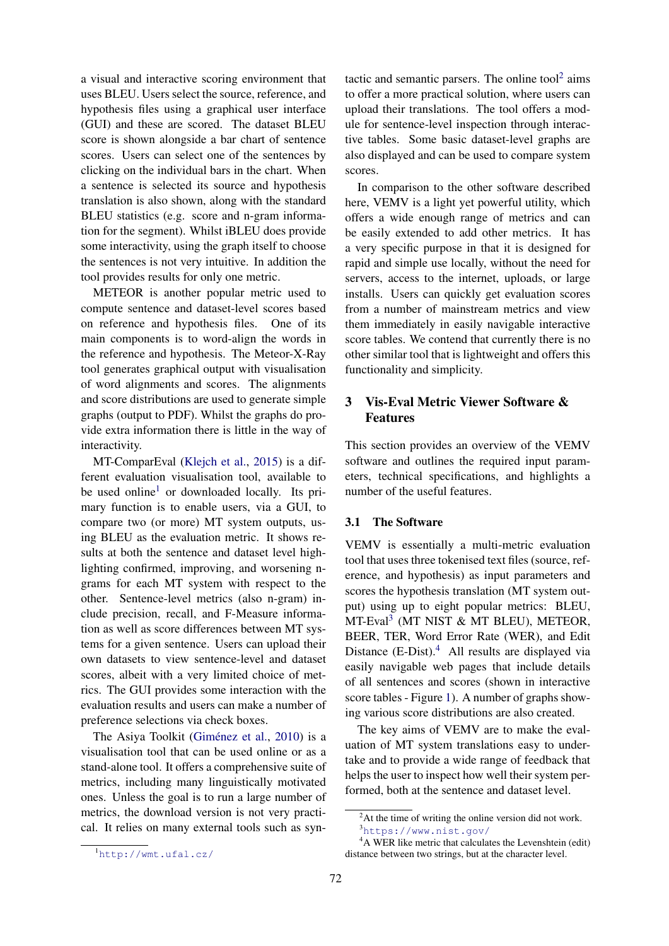a visual and interactive scoring environment that uses BLEU. Users select the source, reference, and hypothesis files using a graphical user interface (GUI) and these are scored. The dataset BLEU score is shown alongside a bar chart of sentence scores. Users can select one of the sentences by clicking on the individual bars in the chart. When a sentence is selected its source and hypothesis translation is also shown, along with the standard BLEU statistics (e.g. score and n-gram information for the segment). Whilst iBLEU does provide some interactivity, using the graph itself to choose the sentences is not very intuitive. In addition the tool provides results for only one metric.

METEOR is another popular metric used to compute sentence and dataset-level scores based on reference and hypothesis files. One of its main components is to word-align the words in the reference and hypothesis. The Meteor-X-Ray tool generates graphical output with visualisation of word alignments and scores. The alignments and score distributions are used to generate simple graphs (output to PDF). Whilst the graphs do provide extra information there is little in the way of interactivity.

MT-ComparEval (Klejch et al., 2015) is a different evaluation visualisation tool, available to be used online<sup>1</sup> or downloaded locally. Its primary function is to enable users, via a GUI, to compare two (or more) MT system outputs, using BLEU as the evaluation metric. It shows results at both the sentence and dataset level highlighting confirmed, improving, and worsening ngrams for each MT system with respect to the other. Sentence-level metrics (also n-gram) include precision, recall, and F-Measure information as well as score differences between MT systems for a given sentence. Users can upload their own datasets to view sentence-level and dataset scores, albeit with a very limited choice of metrics. The GUI provides some interaction with the evaluation results and users can make a number of preference selections via check boxes.

The Asiya Toolkit (Giménez et al., 2010) is a visualisation tool that can be used online or as a stand-alone tool. It offers a comprehensive suite of metrics, including many linguistically motivated ones. Unless the goal is to run a large number of metrics, the download version is not very practical. It relies on many external tools such as syn-

tactic and semantic parsers. The online tool $2$  aims to offer a more practical solution, where users can upload their translations. The tool offers a module for sentence-level inspection through interactive tables. Some basic dataset-level graphs are also displayed and can be used to compare system scores.

In comparison to the other software described here, VEMV is a light yet powerful utility, which offers a wide enough range of metrics and can be easily extended to add other metrics. It has a very specific purpose in that it is designed for rapid and simple use locally, without the need for servers, access to the internet, uploads, or large installs. Users can quickly get evaluation scores from a number of mainstream metrics and view them immediately in easily navigable interactive score tables. We contend that currently there is no other similar tool that is lightweight and offers this functionality and simplicity.

# 3 Vis-Eval Metric Viewer Software & Features

This section provides an overview of the VEMV software and outlines the required input parameters, technical specifications, and highlights a number of the useful features.

#### 3.1 The Software

VEMV is essentially a multi-metric evaluation tool that uses three tokenised text files (source, reference, and hypothesis) as input parameters and scores the hypothesis translation (MT system output) using up to eight popular metrics: BLEU, MT-Eval<sup>3</sup> (MT NIST & MT BLEU), METEOR, BEER, TER, Word Error Rate (WER), and Edit Distance  $(E\text{-Dist})$ .<sup>4</sup> All results are displayed via easily navigable web pages that include details of all sentences and scores (shown in interactive score tables - Figure 1). A number of graphs showing various score distributions are also created.

The key aims of VEMV are to make the evaluation of MT system translations easy to undertake and to provide a wide range of feedback that helps the user to inspect how well their system performed, both at the sentence and dataset level.

<sup>&</sup>lt;sup>2</sup>At the time of writing the online version did not work. <sup>3</sup>https://www.nist.gov/

<sup>&</sup>lt;sup>4</sup>A WER like metric that calculates the Levenshtein (edit) distance between two strings, but at the character level.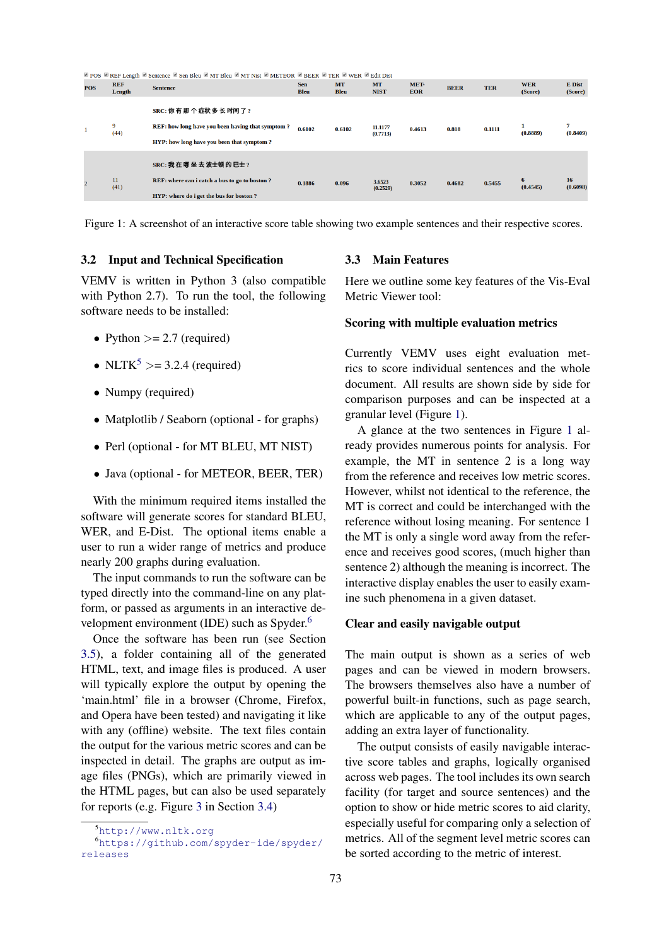| <sup>2</sup> POS <sup>2</sup> REF Length ■ Sentence ■ Sen Bleu ■ MT Bleu ■ MT Nist ■ METEOR ■ BEER ■ TER ■ WER ■ Edit Dist |                      |                                                                                                                       |                           |                          |                          |                    |             |            |                       |                          |
|----------------------------------------------------------------------------------------------------------------------------|----------------------|-----------------------------------------------------------------------------------------------------------------------|---------------------------|--------------------------|--------------------------|--------------------|-------------|------------|-----------------------|--------------------------|
| <b>POS</b>                                                                                                                 | <b>REF</b><br>Length | <b>Sentence</b>                                                                                                       | <b>Sen</b><br><b>Bleu</b> | <b>MT</b><br><b>Bleu</b> | <b>MT</b><br><b>NIST</b> | MET-<br><b>EOR</b> | <b>BEER</b> | <b>TER</b> | <b>WER</b><br>(Score) | <b>E</b> Dist<br>(Score) |
| -1                                                                                                                         | 9<br>(44)            | SRC: 你有那个症状多长时间了?<br>REF: how long have you been having that symptom?<br>HYP: how long have you been that symptom?    | 0.6102                    | 0.6102                   | 11.1177<br>(0.7713)      | 0.4613             | 0.818       | 0.1111     | (0.8889)              | 7<br>(0.8409)            |
|                                                                                                                            | 11<br>(41)           | SRC: 我 在 哪 坐 去 波士顿 的 巴士 ?<br>REF: where can i catch a bus to go to boston?<br>HYP: where do i get the bus for boston? | 0.1886                    | 0.096                    | 3.6523<br>(0.2529)       | 0.3052             | 0.4682      | 0.5455     | 6<br>(0.4545)         | 16<br>(0.6098)           |

Figure 1: A screenshot of an interactive score table showing two example sentences and their respective scores.

#### 3.2 Input and Technical Specification

VEMV is written in Python 3 (also compatible with Python 2.7). To run the tool, the following software needs to be installed:

- Python  $>= 2.7$  (required)
- NLTK<sup>5</sup> > = 3.2.4 (required)
- Numpy (required)
- Matplotlib / Seaborn (optional for graphs)
- Perl (optional for MT BLEU, MT NIST)
- Java (optional for METEOR, BEER, TER)

With the minimum required items installed the software will generate scores for standard BLEU, WER, and E-Dist. The optional items enable a user to run a wider range of metrics and produce nearly 200 graphs during evaluation.

The input commands to run the software can be typed directly into the command-line on any platform, or passed as arguments in an interactive development environment (IDE) such as Spyder.<sup>6</sup>

Once the software has been run (see Section 3.5), a folder containing all of the generated HTML, text, and image files is produced. A user will typically explore the output by opening the 'main.html' file in a browser (Chrome, Firefox, and Opera have been tested) and navigating it like with any (offline) website. The text files contain the output for the various metric scores and can be inspected in detail. The graphs are output as image files (PNGs), which are primarily viewed in the HTML pages, but can also be used separately for reports (e.g. Figure 3 in Section 3.4)

#### 3.3 Main Features

Here we outline some key features of the Vis-Eval Metric Viewer tool:

#### Scoring with multiple evaluation metrics

Currently VEMV uses eight evaluation metrics to score individual sentences and the whole document. All results are shown side by side for comparison purposes and can be inspected at a granular level (Figure 1).

A glance at the two sentences in Figure 1 already provides numerous points for analysis. For example, the MT in sentence 2 is a long way from the reference and receives low metric scores. However, whilst not identical to the reference, the MT is correct and could be interchanged with the reference without losing meaning. For sentence 1 the MT is only a single word away from the reference and receives good scores, (much higher than sentence 2) although the meaning is incorrect. The interactive display enables the user to easily examine such phenomena in a given dataset.

#### Clear and easily navigable output

The main output is shown as a series of web pages and can be viewed in modern browsers. The browsers themselves also have a number of powerful built-in functions, such as page search, which are applicable to any of the output pages, adding an extra layer of functionality.

The output consists of easily navigable interactive score tables and graphs, logically organised across web pages. The tool includes its own search facility (for target and source sentences) and the option to show or hide metric scores to aid clarity, especially useful for comparing only a selection of metrics. All of the segment level metric scores can be sorted according to the metric of interest.

<sup>5</sup>http://www.nltk.org

<sup>6</sup>https://github.com/spyder-ide/spyder/ releases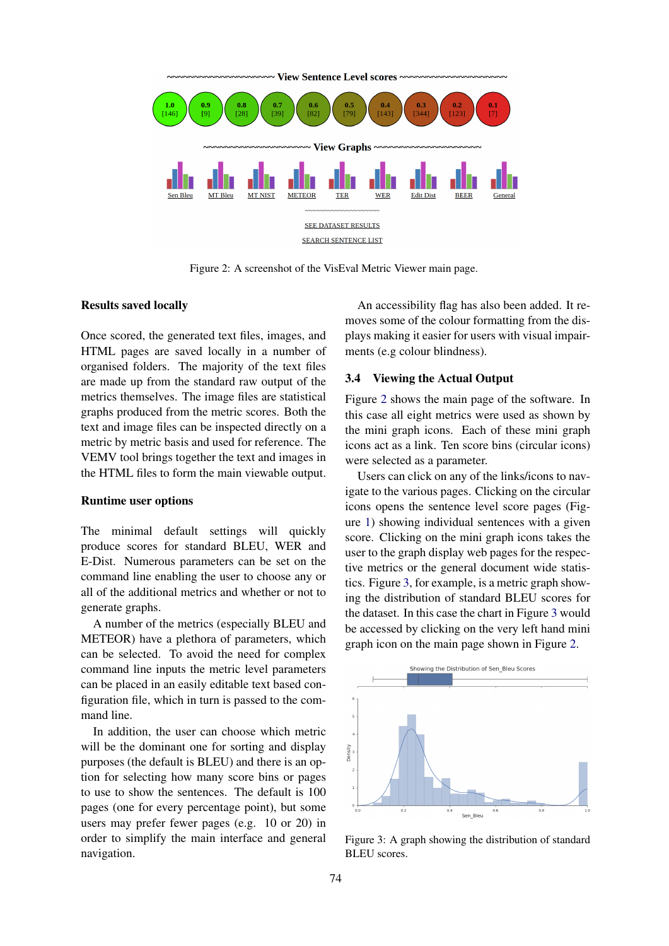

Figure 2: A screenshot of the VisEval Metric Viewer main page.

#### Results saved locally

Once scored, the generated text files, images, and HTML pages are saved locally in a number of organised folders. The majority of the text files are made up from the standard raw output of the metrics themselves. The image files are statistical graphs produced from the metric scores. Both the text and image files can be inspected directly on a metric by metric basis and used for reference. The VEMV tool brings together the text and images in the HTML files to form the main viewable output.

#### Runtime user options

The minimal default settings will quickly produce scores for standard BLEU, WER and E-Dist. Numerous parameters can be set on the command line enabling the user to choose any or all of the additional metrics and whether or not to generate graphs.

A number of the metrics (especially BLEU and METEOR) have a plethora of parameters, which can be selected. To avoid the need for complex command line inputs the metric level parameters can be placed in an easily editable text based configuration file, which in turn is passed to the command line.

In addition, the user can choose which metric will be the dominant one for sorting and display purposes (the default is BLEU) and there is an option for selecting how many score bins or pages to use to show the sentences. The default is 100 pages (one for every percentage point), but some users may prefer fewer pages (e.g. 10 or 20) in order to simplify the main interface and general navigation.

An accessibility flag has also been added. It removes some of the colour formatting from the displays making it easier for users with visual impairments (e.g colour blindness).

#### 3.4 Viewing the Actual Output

Figure 2 shows the main page of the software. In this case all eight metrics were used as shown by the mini graph icons. Each of these mini graph icons act as a link. Ten score bins (circular icons) were selected as a parameter.

Users can click on any of the links/icons to navigate to the various pages. Clicking on the circular icons opens the sentence level score pages (Figure 1) showing individual sentences with a given score. Clicking on the mini graph icons takes the user to the graph display web pages for the respective metrics or the general document wide statistics. Figure 3, for example, is a metric graph showing the distribution of standard BLEU scores for the dataset. In this case the chart in Figure 3 would be accessed by clicking on the very left hand mini graph icon on the main page shown in Figure 2.



Figure 3: A graph showing the distribution of standard BLEU scores.